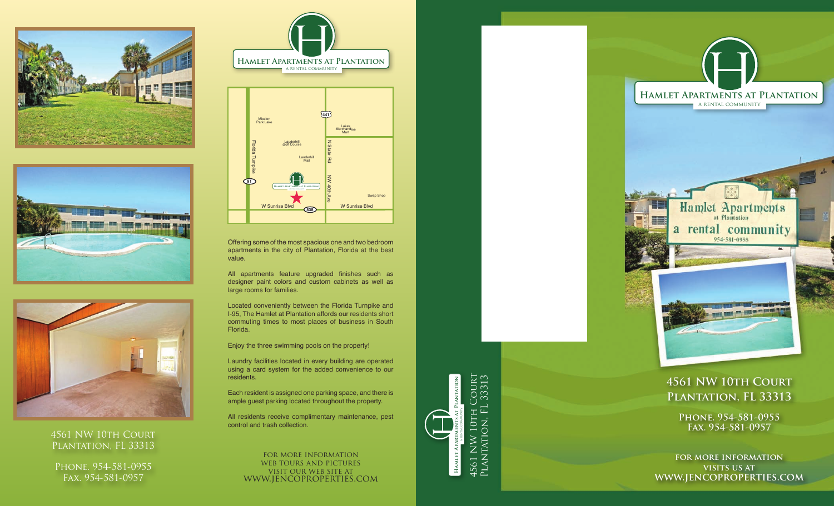





## 4561 NW 10TH COURT PLANTATION, FL 33313

PHONE. 954-581-0955 Fax. 954-581-0957





Offering some of the most spacious one and two bedroom apartments in the city of Plantation, Florida at the best value.

All apartments feature upgraded finishes such as designer paint colors and custom cabinets as well as large rooms for families.

Located conveniently between the Florida Turnpike and I-95, The Hamlet at Plantation affords our residents short commuting times to most places of business in South Florida.

Enjoy the three swimming pools on the property!

Laundry facilities located in every building are operated using a card system for the added convenience to our residents.

Each resident is assigned one parking space, and there is ample guest parking located throughout the property.

All residents receive complimentary maintenance, pest control and trash collection.

for more information web tours and pictures visit our web site at www.jencoproperties.com



## **4561 NW 10th Court Plantation, FL 33313**

**Phone. 954-581-0955 Fax. 954-581-0957** 

**for more information visits us at www.jencoproperties.com**